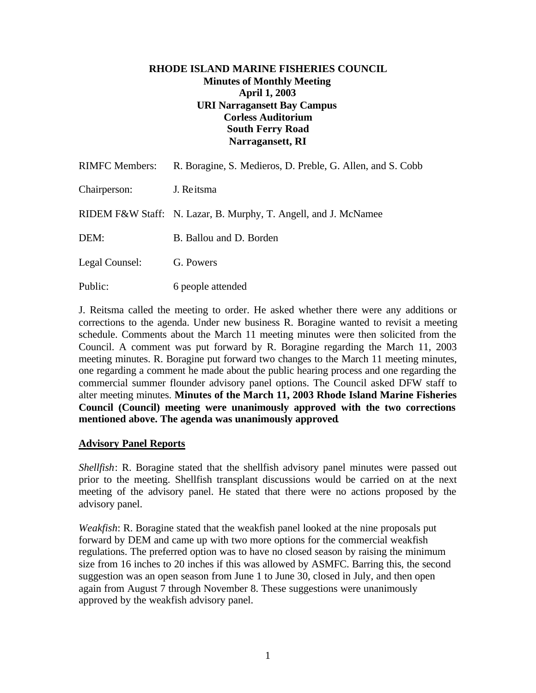## **RHODE ISLAND MARINE FISHERIES COUNCIL Minutes of Monthly Meeting April 1, 2003 URI Narragansett Bay Campus Corless Auditorium South Ferry Road Narragansett, RI**

| <b>RIMFC Members:</b> | R. Boragine, S. Medieros, D. Preble, G. Allen, and S. Cobb      |
|-----------------------|-----------------------------------------------------------------|
| Chairperson:          | J. Reitsma                                                      |
|                       | RIDEM F&W Staff: N. Lazar, B. Murphy, T. Angell, and J. McNamee |
| DEM:                  | B. Ballou and D. Borden                                         |
| Legal Counsel:        | G. Powers                                                       |
| Public:               | 6 people attended                                               |

J. Reitsma called the meeting to order. He asked whether there were any additions or corrections to the agenda. Under new business R. Boragine wanted to revisit a meeting schedule. Comments about the March 11 meeting minutes were then solicited from the Council. A comment was put forward by R. Boragine regarding the March 11, 2003 meeting minutes. R. Boragine put forward two changes to the March 11 meeting minutes, one regarding a comment he made about the public hearing process and one regarding the commercial summer flounder advisory panel options. The Council asked DFW staff to alter meeting minutes. **Minutes of the March 11, 2003 Rhode Island Marine Fisheries Council (Council) meeting were unanimously approved with the two corrections mentioned above. The agenda was unanimously approved**.

# **Advisory Panel Reports**

*Shellfish*: R. Boragine stated that the shellfish advisory panel minutes were passed out prior to the meeting. Shellfish transplant discussions would be carried on at the next meeting of the advisory panel. He stated that there were no actions proposed by the advisory panel.

*Weakfish*: R. Boragine stated that the weakfish panel looked at the nine proposals put forward by DEM and came up with two more options for the commercial weakfish regulations. The preferred option was to have no closed season by raising the minimum size from 16 inches to 20 inches if this was allowed by ASMFC. Barring this, the second suggestion was an open season from June 1 to June 30, closed in July, and then open again from August 7 through November 8. These suggestions were unanimously approved by the weakfish advisory panel.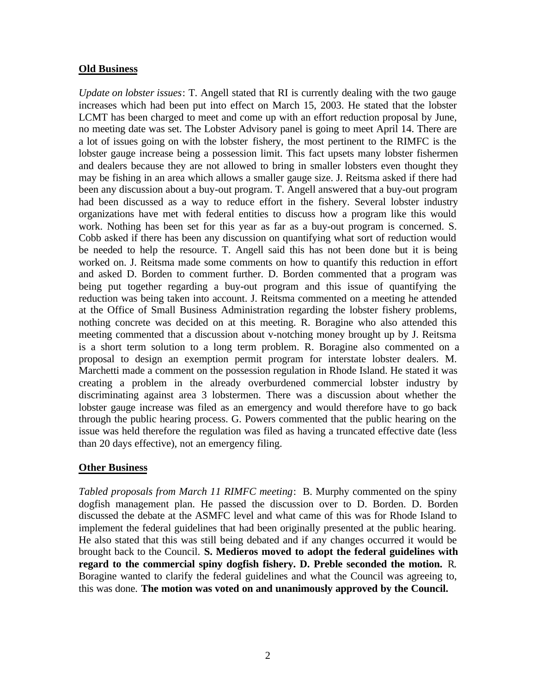### **Old Business**

*Update on lobster issues*: T. Angell stated that RI is currently dealing with the two gauge increases which had been put into effect on March 15, 2003. He stated that the lobster LCMT has been charged to meet and come up with an effort reduction proposal by June, no meeting date was set. The Lobster Advisory panel is going to meet April 14. There are a lot of issues going on with the lobster fishery, the most pertinent to the RIMFC is the lobster gauge increase being a possession limit. This fact upsets many lobster fishermen and dealers because they are not allowed to bring in smaller lobsters even thought they may be fishing in an area which allows a smaller gauge size. J. Reitsma asked if there had been any discussion about a buy-out program. T. Angell answered that a buy-out program had been discussed as a way to reduce effort in the fishery. Several lobster industry organizations have met with federal entities to discuss how a program like this would work. Nothing has been set for this year as far as a buy-out program is concerned. S. Cobb asked if there has been any discussion on quantifying what sort of reduction would be needed to help the resource. T. Angell said this has not been done but it is being worked on. J. Reitsma made some comments on how to quantify this reduction in effort and asked D. Borden to comment further. D. Borden commented that a program was being put together regarding a buy-out program and this issue of quantifying the reduction was being taken into account. J. Reitsma commented on a meeting he attended at the Office of Small Business Administration regarding the lobster fishery problems, nothing concrete was decided on at this meeting. R. Boragine who also attended this meeting commented that a discussion about v-notching money brought up by J. Reitsma is a short term solution to a long term problem. R. Boragine also commented on a proposal to design an exemption permit program for interstate lobster dealers. M. Marchetti made a comment on the possession regulation in Rhode Island. He stated it was creating a problem in the already overburdened commercial lobster industry by discriminating against area 3 lobstermen. There was a discussion about whether the lobster gauge increase was filed as an emergency and would therefore have to go back through the public hearing process. G. Powers commented that the public hearing on the issue was held therefore the regulation was filed as having a truncated effective date (less than 20 days effective), not an emergency filing.

# **Other Business**

*Tabled proposals from March 11 RIMFC meeting*: B. Murphy commented on the spiny dogfish management plan. He passed the discussion over to D. Borden. D. Borden discussed the debate at the ASMFC level and what came of this was for Rhode Island to implement the federal guidelines that had been originally presented at the public hearing. He also stated that this was still being debated and if any changes occurred it would be brought back to the Council. **S. Medieros moved to adopt the federal guidelines with regard to the commercial spiny dogfish fishery. D. Preble seconded the motion.** R. Boragine wanted to clarify the federal guidelines and what the Council was agreeing to, this was done. **The motion was voted on and unanimously approved by the Council.**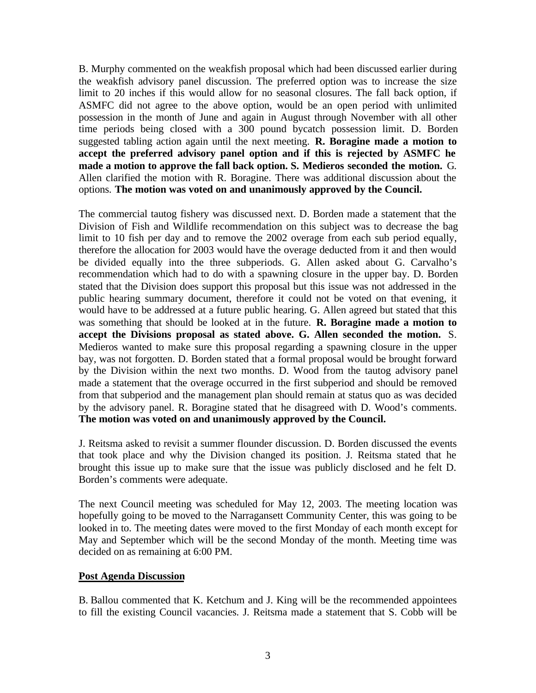B. Murphy commented on the weakfish proposal which had been discussed earlier during the weakfish advisory panel discussion. The preferred option was to increase the size limit to 20 inches if this would allow for no seasonal closures. The fall back option, if ASMFC did not agree to the above option, would be an open period with unlimited possession in the month of June and again in August through November with all other time periods being closed with a 300 pound bycatch possession limit. D. Borden suggested tabling action again until the next meeting. **R. Boragine made a motion to accept the preferred advisory panel option and if this is rejected by ASMFC he made a motion to approve the fall back option. S. Medieros seconded the motion.** G. Allen clarified the motion with R. Boragine. There was additional discussion about the options. **The motion was voted on and unanimously approved by the Council.**

The commercial tautog fishery was discussed next. D. Borden made a statement that the Division of Fish and Wildlife recommendation on this subject was to decrease the bag limit to 10 fish per day and to remove the 2002 overage from each sub period equally, therefore the allocation for 2003 would have the overage deducted from it and then would be divided equally into the three subperiods. G. Allen asked about G. Carvalho's recommendation which had to do with a spawning closure in the upper bay. D. Borden stated that the Division does support this proposal but this issue was not addressed in the public hearing summary document, therefore it could not be voted on that evening, it would have to be addressed at a future public hearing. G. Allen agreed but stated that this was something that should be looked at in the future. **R. Boragine made a motion to accept the Divisions proposal as stated above. G. Allen seconded the motion.** S. Medieros wanted to make sure this proposal regarding a spawning closure in the upper bay, was not forgotten. D. Borden stated that a formal proposal would be brought forward by the Division within the next two months. D. Wood from the tautog advisory panel made a statement that the overage occurred in the first subperiod and should be removed from that subperiod and the management plan should remain at status quo as was decided by the advisory panel. R. Boragine stated that he disagreed with D. Wood's comments. **The motion was voted on and unanimously approved by the Council.**

J. Reitsma asked to revisit a summer flounder discussion. D. Borden discussed the events that took place and why the Division changed its position. J. Reitsma stated that he brought this issue up to make sure that the issue was publicly disclosed and he felt D. Borden's comments were adequate.

The next Council meeting was scheduled for May 12, 2003. The meeting location was hopefully going to be moved to the Narragansett Community Center, this was going to be looked in to. The meeting dates were moved to the first Monday of each month except for May and September which will be the second Monday of the month. Meeting time was decided on as remaining at 6:00 PM.

### **Post Agenda Discussion**

B. Ballou commented that K. Ketchum and J. King will be the recommended appointees to fill the existing Council vacancies. J. Reitsma made a statement that S. Cobb will be